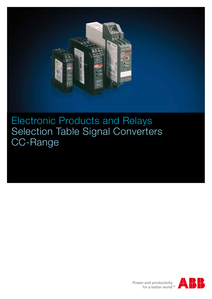

Electronic Products and Relays Selection Table Signal Converters CC-Range

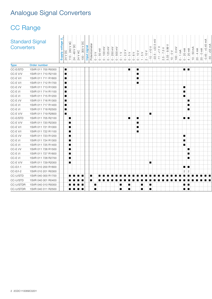# Analogue Signal Converters

| Converters     | <b>Standard Signal</b> | Supply voltage I<br>24 V DC | 240 V AC<br>$24 - 48 \vee DC$<br>$24 \vee AC$<br>$110 -$ | 300 V DC<br>signal<br>Input<br>100 | Potentiometer<br>$\sim$ 0 $\sim$<br>$\circ$ | 100 mV<br>$50 \text{ mV}$<br>$\circ$<br>$\circ$ | 250 mV<br>$\bigcap$<br>$\circ$ | 500 mV<br>$\circ$<br>$\bigcap$ | $\geq$<br>$\frac{1}{2}$<br>$\frac{1}{2}$<br>$\circ$ | $\frac{8}{10}$<br>$\circ$ | $\geq$<br>$\overline{C}$<br>$\circ$ | ><br>$rac{1}{1}$<br>$\circ$<br>$\frac{1}{2}$ | $\geq$<br>Ю<br>><br>22<br>$\overline{+}$<br>$\overline{\mathbb{H}}$<br>$\sim$ | 0.99 V<br>$\frac{1}{5}$<br>3.33<br>$\frac{5}{2}$ | $0 \text{ mV}$<br>$VQ - 01$<br>100 | $0 - 1$ is<br>$0 - 20$ mA | $\widetilde{\text{m}}$<br>50<br>$\frac{1}{10}$ | $\widetilde{\mathsf{F}}$<br>$0 \text{ mA}$<br>$20 - 4$<br>$20 -$ | $+0.45 \, \text{mA}$<br>mA<br>55<br>45<br>$\circ$ |  |
|----------------|------------------------|-----------------------------|----------------------------------------------------------|------------------------------------|---------------------------------------------|-------------------------------------------------|--------------------------------|--------------------------------|-----------------------------------------------------|---------------------------|-------------------------------------|----------------------------------------------|-------------------------------------------------------------------------------|--------------------------------------------------|------------------------------------|---------------------------|------------------------------------------------|------------------------------------------------------------------|---------------------------------------------------|--|
| <b>Type</b>    | Order number           |                             |                                                          |                                    |                                             |                                                 |                                |                                |                                                     |                           |                                     |                                              |                                                                               |                                                  |                                    |                           |                                                |                                                                  |                                                   |  |
| CC-E/STD       | 1SVR 011 700 R0000     | ▐█                          |                                                          |                                    |                                             |                                                 |                                |                                |                                                     | ▐▉▏                       | ■                                   |                                              |                                                                               |                                                  |                                    | ▉░▉                       |                                                |                                                                  |                                                   |  |
| CC-EV/V        | 1SVR 011 710 R2100     | п                           |                                                          |                                    |                                             |                                                 |                                |                                |                                                     |                           |                                     |                                              |                                                                               |                                                  |                                    |                           |                                                |                                                                  |                                                   |  |
| $CC-EV/I$      | 1SVR 011 711 R1600     | l a                         |                                                          |                                    |                                             |                                                 |                                |                                |                                                     |                           | п                                   |                                              |                                                                               |                                                  |                                    |                           |                                                |                                                                  |                                                   |  |
| $CC-EV/I$      | 1SVR 011 712 R1700     | I.                          |                                                          |                                    |                                             |                                                 |                                |                                |                                                     |                           | $\blacksquare$                      |                                              |                                                                               |                                                  |                                    |                           |                                                |                                                                  |                                                   |  |
| CC-E I/V       | 1SVR 011 713 R1000     | ▐▇                          |                                                          |                                    |                                             |                                                 |                                |                                |                                                     |                           |                                     |                                              |                                                                               |                                                  |                                    | $\blacksquare$            |                                                |                                                                  |                                                   |  |
| $CC-E$ $1/1$   | 1SVR 011 714 R1100     | H                           |                                                          |                                    |                                             |                                                 |                                |                                |                                                     |                           |                                     |                                              |                                                                               |                                                  |                                    | $\blacksquare$            |                                                |                                                                  |                                                   |  |
| $CC-E$ $1/ \!$ | 1SVR 011 715 R1200     | п                           |                                                          |                                    |                                             |                                                 |                                |                                |                                                     |                           |                                     |                                              |                                                                               |                                                  |                                    | $\blacksquare$            |                                                |                                                                  |                                                   |  |
| CC-E I/V       | 1SVR 011 716 R1300     | I.                          |                                                          |                                    |                                             |                                                 |                                |                                |                                                     |                           |                                     |                                              |                                                                               |                                                  |                                    |                           | п                                              |                                                                  |                                                   |  |
| $CC-E$ $1/ \!$ | 1SVR 011 717 R1400     | п                           |                                                          |                                    |                                             |                                                 |                                |                                |                                                     |                           |                                     |                                              |                                                                               |                                                  |                                    |                           | п                                              |                                                                  |                                                   |  |
| $CC-E$ $1/1$   | 1SVR 011 718 R2500     | п                           |                                                          |                                    |                                             |                                                 |                                |                                |                                                     |                           |                                     |                                              |                                                                               |                                                  |                                    |                           | п.                                             |                                                                  |                                                   |  |
| CC-EV/V        | 1SVR 011 719 R2600     | H                           |                                                          |                                    |                                             |                                                 |                                |                                |                                                     |                           |                                     | $\blacksquare$                               |                                                                               |                                                  |                                    |                           |                                                |                                                                  |                                                   |  |
| CC-E/STD       | 1SVR 011 705 R2100     |                             | $\blacksquare$                                           |                                    |                                             |                                                 |                                |                                |                                                     | !∎!                       |                                     |                                              |                                                                               |                                                  |                                    | m i m                     |                                                |                                                                  |                                                   |  |
| $CC-E$ V/V     | 1SVR 011 720 R2300     |                             | $\blacksquare$                                           |                                    |                                             |                                                 |                                |                                |                                                     |                           | п                                   |                                              |                                                                               |                                                  |                                    |                           |                                                |                                                                  |                                                   |  |
| $CC-EV/I$      | 1SVR 011 721 R1000     |                             | $\blacksquare$                                           |                                    |                                             |                                                 |                                |                                |                                                     |                           | $\blacksquare$                      |                                              |                                                                               |                                                  |                                    |                           |                                                |                                                                  |                                                   |  |
| CC-EV/I        | 1SVR 011 722 R1100     |                             | п                                                        |                                    |                                             |                                                 |                                |                                |                                                     |                           | $\blacksquare$                      |                                              |                                                                               |                                                  |                                    |                           |                                                |                                                                  |                                                   |  |
| $CC-E$ I/V     | 1SVR 011 723 R1200     |                             | $\blacksquare$                                           |                                    |                                             |                                                 |                                |                                |                                                     |                           |                                     |                                              |                                                                               |                                                  |                                    | $\blacksquare$            |                                                |                                                                  |                                                   |  |
| $CC-E$ $1/1$   | 1SVR 011 724 R1300     |                             | п                                                        |                                    |                                             |                                                 |                                |                                |                                                     |                           |                                     |                                              |                                                                               |                                                  |                                    | п                         |                                                |                                                                  |                                                   |  |
| $CC-E$ $1/1$   | 1SVR 011 725 R1400     |                             | п                                                        |                                    |                                             |                                                 |                                |                                |                                                     |                           |                                     |                                              |                                                                               |                                                  |                                    | $\blacksquare$            |                                                |                                                                  |                                                   |  |
| CC-E I/V       | 1SVR 011 726 R1500     |                             | $\blacksquare$                                           |                                    |                                             |                                                 |                                |                                |                                                     |                           |                                     |                                              |                                                                               |                                                  |                                    |                           | п                                              |                                                                  |                                                   |  |
| CC-E I/I       | 1SVR 011 727 R1600     |                             | $\blacksquare$                                           |                                    |                                             |                                                 |                                |                                |                                                     |                           |                                     |                                              |                                                                               |                                                  |                                    |                           | п                                              |                                                                  |                                                   |  |
| $CC-E$ $1/1$   | 1SVR 011 728 R2700     |                             | $\blacksquare$                                           |                                    |                                             |                                                 |                                |                                |                                                     |                           |                                     |                                              |                                                                               |                                                  |                                    |                           | $\blacksquare$                                 |                                                                  |                                                   |  |
| CC-EV/V        | 1SVR 011 729 R2000     |                             | $\blacksquare$                                           |                                    |                                             |                                                 |                                |                                |                                                     |                           |                                     | $\blacksquare$                               |                                                                               |                                                  |                                    |                           |                                                |                                                                  |                                                   |  |
| $CC-E/I-1$     | 1SVR 010 200 R1600     |                             |                                                          |                                    |                                             |                                                 |                                |                                |                                                     |                           |                                     |                                              |                                                                               |                                                  |                                    | ∎∶∎                       |                                                |                                                                  |                                                   |  |
| $CC-E/I-2$     | 1SVR 010 201 R0300     |                             |                                                          |                                    |                                             |                                                 |                                |                                |                                                     |                           |                                     |                                              |                                                                               |                                                  |                                    | 2:2                       |                                                |                                                                  |                                                   |  |
| CC-U/STD       | 1SVR 040 000 R1700     |                             | $\blacksquare$                                           |                                    |                                             |                                                 |                                |                                |                                                     |                           |                                     |                                              |                                                                               |                                                  |                                    |                           |                                                |                                                                  |                                                   |  |
| CC-U/STD       | 1SVR 040 001 R0400     |                             |                                                          |                                    |                                             |                                                 |                                |                                |                                                     |                           |                                     |                                              |                                                                               |                                                  |                                    |                           |                                                |                                                                  |                                                   |  |
| CC-U/STDR      | 1SVR 040 010 R0000     |                             | $\blacksquare$                                           |                                    | п                                           |                                                 |                                | п                              |                                                     |                           |                                     |                                              |                                                                               |                                                  |                                    | ∎≀∎                       |                                                |                                                                  |                                                   |  |
| CC-U/STDR      | 1SVR 040 011 R2500     |                             |                                                          |                                    | п                                           |                                                 |                                | п                              |                                                     | п                         | п                                   |                                              |                                                                               |                                                  |                                    | n i n                     |                                                |                                                                  |                                                   |  |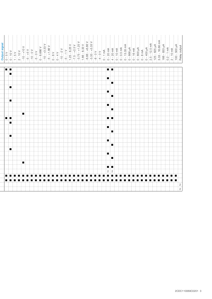|--|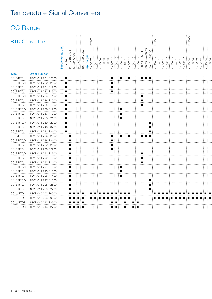# Temperature Signal Converters

| <b>RTD Converters</b> |              |                    | ∍<br>$\frac{1}{100}$<br>$\frac{1}{100}$<br>Notably voltage I | 240 V AC<br>О<br>Д<br>48 V<br>$24 - 48$ V<br>24 V AC<br>$10 -$ | $\mathop{\text{SO}}$<br><b>V 008</b><br>$\hbox{S}$ | E<br>$\overline{a}$<br>signal<br>O. 09 -<br>O. 09 -<br>Input<br>$\circ$ $\circ$ | $\begin{bmatrix} 0 & 0 & 0 \\ 0 & 0 & 0 \\ 0 & 0 & 0 \\ 0 & 0 & 0 \\ 0 & 0 & 0 \\ 0 & 0 & 0 \\ 0 & 0 & 0 \\ 0 & 0 & 0 \\ 0 & 0 & 0 \\ 0 & 0 & 0 & 0 \\ 0 & 0 & 0 & 0 \\ 0 & 0 & 0 & 0 \\ 0 & 0 & 0 & 0 & 0 \\ 0 & 0 & 0 & 0 & 0 \\ 0 & 0 & 0 & 0 & 0 & 0 \\ 0 & 0 & 0 & 0 & 0 & 0 \\ 0 & 0 & 0 & 0 & 0 & 0 & 0 \\ 0 & 0 & 0 & $<br>n i<br>$\circ$ |                    | $\begin{bmatrix} 5 & 0 & 0 \\ 0 & 0 & 0 \\ 0 & 0 & 0 \\ 0 & 0 & 0 \\ 0 & 0 & 0 \\ 0 & 0 & 0 \\ 0 & 0 & 0 \\ 0 & 0 & 0 \\ 0 & 0 & 0 \\ 0 & 0 & 0 \\ 0 & 0 & 0 \\ 0 & 0 & 0 \\ 0 & 0 & 0 \\ 0 & 0 & 0 \\ 0 & 0 & 0 & 0 \\ 0 & 0 & 0 & 0 \\ 0 & 0 & 0 & 0 \\ 0 & 0 & 0 & 0 & 0 \\ 0 & 0 & 0 & 0 & 0 \\ 0 & 0 & 0 & 0 & 0 \\ 0 & 0 & $<br>-11<br>$\circ$ : | 300<br>$\circ$ | ုပ္စ္ပုပ္စု<br>004<br>500<br>-13<br>$\circ$ : $\circ$ : | ပ္စ<br>$\circ$<br>8<br>600<br>$\circ$<br>စ | $\mathop{\mathrm{O}}_\circ$<br>$\mathbb{C}^3$<br>450<br>50<br>$\circ$<br>$\circ$<br>50<br>50 | $\overline{C}$<br>$\overline{b}$<br>O<br>250<br>$\circ$<br>Š<br>500<br>50<br>$\circ$ | ပ္စ<br>550<br>$\circ$ | ုပ္စုပ္စု<br>800<br>650<br>: 0 : 0 : | O<br>50<br>$\circ$<br>$\circ$ | ပ္စ<br>850<br>800<br>$\circ$ $\circ$ $\circ$ $\circ$<br>$\circ$ | 000<br>$\circ$<br>$\left($<br>$\circ$<br>$\circ$<br>$\circ$ $\circ$ $\circ$ $\circ$ | $\circ$<br>$\circ$ | Q:Q:Q<br>$\frac{1}{2}$<br>ioioi | $\circ$ |
|-----------------------|--------------|--------------------|--------------------------------------------------------------|----------------------------------------------------------------|----------------------------------------------------|---------------------------------------------------------------------------------|---------------------------------------------------------------------------------------------------------------------------------------------------------------------------------------------------------------------------------------------------------------------------------------------------------------------------------------------------|--------------------|--------------------------------------------------------------------------------------------------------------------------------------------------------------------------------------------------------------------------------------------------------------------------------------------------------------------------------------------------------|----------------|---------------------------------------------------------|--------------------------------------------|----------------------------------------------------------------------------------------------|--------------------------------------------------------------------------------------|-----------------------|--------------------------------------|-------------------------------|-----------------------------------------------------------------|-------------------------------------------------------------------------------------|--------------------|---------------------------------|---------|
| <b>Type</b>           | Order number |                    |                                                              |                                                                |                                                    |                                                                                 |                                                                                                                                                                                                                                                                                                                                                   | $\circ$<br>$\circ$ |                                                                                                                                                                                                                                                                                                                                                        |                |                                                         |                                            |                                                                                              |                                                                                      |                       |                                      |                               |                                                                 |                                                                                     |                    |                                 |         |
| CC-E/RTD              |              | 1SVR 011 701 R2500 | H                                                            |                                                                |                                                    |                                                                                 |                                                                                                                                                                                                                                                                                                                                                   |                    | $\blacksquare$                                                                                                                                                                                                                                                                                                                                         | п              | œ                                                       |                                            | ma i ma i m                                                                                  |                                                                                      |                       |                                      |                               |                                                                 |                                                                                     |                    |                                 |         |
| CC-E RTD/V            |              | 1SVR 011 730 R2500 | $\blacksquare$                                               |                                                                |                                                    |                                                                                 |                                                                                                                                                                                                                                                                                                                                                   |                    |                                                                                                                                                                                                                                                                                                                                                        |                |                                                         |                                            |                                                                                              |                                                                                      |                       |                                      |                               |                                                                 |                                                                                     |                    |                                 |         |
| CC-E RTD/I            |              | 1SVR 011 731 R1200 | ▬                                                            |                                                                |                                                    |                                                                                 |                                                                                                                                                                                                                                                                                                                                                   |                    |                                                                                                                                                                                                                                                                                                                                                        |                |                                                         |                                            |                                                                                              |                                                                                      |                       |                                      |                               |                                                                 |                                                                                     |                    |                                 |         |
| CC-E RTD/I            |              | 1SVR 011 732 R1300 | H                                                            |                                                                |                                                    |                                                                                 |                                                                                                                                                                                                                                                                                                                                                   |                    | п                                                                                                                                                                                                                                                                                                                                                      |                |                                                         |                                            |                                                                                              |                                                                                      |                       |                                      |                               |                                                                 |                                                                                     |                    |                                 |         |
| CC-E RTD/V            |              | 1SVR 011 733 R1400 | H                                                            |                                                                |                                                    |                                                                                 |                                                                                                                                                                                                                                                                                                                                                   |                    |                                                                                                                                                                                                                                                                                                                                                        |                |                                                         |                                            | ▕▐                                                                                           |                                                                                      |                       |                                      |                               |                                                                 |                                                                                     |                    |                                 |         |
| CC-E RTD/I            |              | 1SVR 011 734 R1500 | ı.                                                           |                                                                |                                                    |                                                                                 |                                                                                                                                                                                                                                                                                                                                                   |                    |                                                                                                                                                                                                                                                                                                                                                        |                |                                                         |                                            | п                                                                                            |                                                                                      |                       |                                      |                               |                                                                 |                                                                                     |                    |                                 |         |
| CC-E RTD/I            |              | 1SVR 011 735 R1600 | H                                                            |                                                                |                                                    |                                                                                 |                                                                                                                                                                                                                                                                                                                                                   |                    |                                                                                                                                                                                                                                                                                                                                                        |                |                                                         |                                            | ≔                                                                                            |                                                                                      |                       |                                      |                               |                                                                 |                                                                                     |                    |                                 |         |
| CC-E RTD/V            |              | 1SVR 011 736 R1700 | ▬                                                            |                                                                |                                                    |                                                                                 |                                                                                                                                                                                                                                                                                                                                                   |                    |                                                                                                                                                                                                                                                                                                                                                        | $\blacksquare$ |                                                         |                                            |                                                                                              |                                                                                      |                       |                                      |                               |                                                                 |                                                                                     |                    |                                 |         |
| CC-E RTD/I            |              | 1SVR 011 737 R1000 | ■                                                            |                                                                |                                                    |                                                                                 |                                                                                                                                                                                                                                                                                                                                                   |                    |                                                                                                                                                                                                                                                                                                                                                        | $\blacksquare$ |                                                         |                                            |                                                                                              |                                                                                      |                       |                                      |                               |                                                                 |                                                                                     |                    |                                 |         |
| CC-E RTD/I            |              | 1SVR 011 738 R2100 | п                                                            |                                                                |                                                    |                                                                                 |                                                                                                                                                                                                                                                                                                                                                   |                    |                                                                                                                                                                                                                                                                                                                                                        | п              |                                                         |                                            |                                                                                              |                                                                                      |                       |                                      |                               |                                                                 |                                                                                     |                    |                                 |         |
| CC-E RTD/V            |              | 1SVR 011 739 R2200 | п                                                            |                                                                |                                                    |                                                                                 |                                                                                                                                                                                                                                                                                                                                                   |                    |                                                                                                                                                                                                                                                                                                                                                        |                |                                                         |                                            |                                                                                              |                                                                                      |                       |                                      |                               |                                                                 |                                                                                     |                    |                                 |         |
| CC-E RTD/I            |              | 1SVR 011 740 R0700 | ■                                                            |                                                                |                                                    |                                                                                 |                                                                                                                                                                                                                                                                                                                                                   |                    |                                                                                                                                                                                                                                                                                                                                                        |                |                                                         |                                            |                                                                                              | п                                                                                    |                       |                                      |                               |                                                                 |                                                                                     |                    |                                 |         |
| CC-E RTD/I            |              | 1SVR 011 741 R2400 | I .                                                          |                                                                |                                                    |                                                                                 |                                                                                                                                                                                                                                                                                                                                                   |                    |                                                                                                                                                                                                                                                                                                                                                        |                |                                                         |                                            |                                                                                              | п                                                                                    |                       |                                      |                               |                                                                 |                                                                                     |                    |                                 |         |
| CC-E/RTD              |              | 1SVR 011 706 R2200 |                                                              | п                                                              |                                                    |                                                                                 |                                                                                                                                                                                                                                                                                                                                                   |                    | ш                                                                                                                                                                                                                                                                                                                                                      | $\blacksquare$ | г                                                       |                                            | <b>KARA BERGERIKA BERGERAK</b>                                                               |                                                                                      |                       |                                      |                               |                                                                 |                                                                                     |                    |                                 |         |
| CC-E RTD/V            |              | 1SVR 011 788 R2400 |                                                              | п                                                              |                                                    |                                                                                 |                                                                                                                                                                                                                                                                                                                                                   |                    |                                                                                                                                                                                                                                                                                                                                                        |                |                                                         |                                            |                                                                                              |                                                                                      |                       |                                      |                               |                                                                 |                                                                                     |                    |                                 |         |
| CC-E RTD/I            |              | 1SVR 011 789 R2500 |                                                              | $\blacksquare$                                                 |                                                    |                                                                                 |                                                                                                                                                                                                                                                                                                                                                   |                    | п                                                                                                                                                                                                                                                                                                                                                      |                |                                                         |                                            |                                                                                              |                                                                                      |                       |                                      |                               |                                                                 |                                                                                     |                    |                                 |         |
| CC-E RTD/I            |              | 1SVR 011 790 R2200 |                                                              | $\blacksquare$                                                 |                                                    |                                                                                 |                                                                                                                                                                                                                                                                                                                                                   |                    | $\blacksquare$                                                                                                                                                                                                                                                                                                                                         |                |                                                         |                                            |                                                                                              |                                                                                      |                       |                                      |                               |                                                                 |                                                                                     |                    |                                 |         |
| CC-E RTD/V            |              | 1SVR 011 791 R1700 |                                                              | $\blacksquare$                                                 |                                                    |                                                                                 |                                                                                                                                                                                                                                                                                                                                                   |                    |                                                                                                                                                                                                                                                                                                                                                        |                |                                                         |                                            | ▘█▏                                                                                          |                                                                                      |                       |                                      |                               |                                                                 |                                                                                     |                    |                                 |         |
| CC-E RTD/I            |              | 1SVR 011 792 R1000 |                                                              | п                                                              |                                                    |                                                                                 |                                                                                                                                                                                                                                                                                                                                                   |                    |                                                                                                                                                                                                                                                                                                                                                        |                |                                                         |                                            | п                                                                                            |                                                                                      |                       |                                      |                               |                                                                 |                                                                                     |                    |                                 |         |
| CC-E RTD/I            |              | 1SVR 011 793 R1100 |                                                              | $\blacksquare$                                                 |                                                    |                                                                                 |                                                                                                                                                                                                                                                                                                                                                   |                    |                                                                                                                                                                                                                                                                                                                                                        |                |                                                         |                                            | п                                                                                            |                                                                                      |                       |                                      |                               |                                                                 |                                                                                     |                    |                                 |         |
| CC-E RTD/V            |              | 1SVR 011 794 R1200 |                                                              | п                                                              |                                                    |                                                                                 |                                                                                                                                                                                                                                                                                                                                                   |                    |                                                                                                                                                                                                                                                                                                                                                        | ш              |                                                         |                                            |                                                                                              |                                                                                      |                       |                                      |                               |                                                                 |                                                                                     |                    |                                 |         |
| CC-E RTD/I            |              | 1SVR 011 795 R1300 |                                                              | $\blacksquare$                                                 |                                                    |                                                                                 |                                                                                                                                                                                                                                                                                                                                                   |                    |                                                                                                                                                                                                                                                                                                                                                        | п              |                                                         |                                            |                                                                                              |                                                                                      |                       |                                      |                               |                                                                 |                                                                                     |                    |                                 |         |
| CC-E RTD/I            |              | 1SVR 011 796 R1400 |                                                              | п                                                              |                                                    |                                                                                 |                                                                                                                                                                                                                                                                                                                                                   |                    |                                                                                                                                                                                                                                                                                                                                                        | п              |                                                         |                                            |                                                                                              |                                                                                      |                       |                                      |                               |                                                                 |                                                                                     |                    |                                 |         |
| CC-E RTD/V            |              | 1SVR 011 797 R1500 |                                                              | п                                                              |                                                    |                                                                                 |                                                                                                                                                                                                                                                                                                                                                   |                    |                                                                                                                                                                                                                                                                                                                                                        |                |                                                         |                                            |                                                                                              | п                                                                                    |                       |                                      |                               |                                                                 |                                                                                     |                    |                                 |         |
| CC-E RTD/I            |              | 1SVR 011 798 R2600 |                                                              | $\blacksquare$                                                 |                                                    |                                                                                 |                                                                                                                                                                                                                                                                                                                                                   |                    |                                                                                                                                                                                                                                                                                                                                                        |                |                                                         |                                            |                                                                                              | п                                                                                    |                       |                                      |                               |                                                                 |                                                                                     |                    |                                 |         |
| CC-E RTD/I            |              | 1SVR 011 799 R2700 |                                                              | п                                                              |                                                    |                                                                                 |                                                                                                                                                                                                                                                                                                                                                   |                    |                                                                                                                                                                                                                                                                                                                                                        |                |                                                         |                                            |                                                                                              |                                                                                      |                       |                                      |                               |                                                                 |                                                                                     |                    |                                 |         |
| CC-U/RTD              |              | 1SVR 040 002 R0500 |                                                              | п                                                              |                                                    |                                                                                 |                                                                                                                                                                                                                                                                                                                                                   |                    |                                                                                                                                                                                                                                                                                                                                                        |                |                                                         |                                            |                                                                                              |                                                                                      |                       |                                      |                               |                                                                 |                                                                                     |                    |                                 |         |
| CC-U/RTD              |              | 1SVR 040 003 R0600 |                                                              |                                                                |                                                    |                                                                                 |                                                                                                                                                                                                                                                                                                                                                   |                    |                                                                                                                                                                                                                                                                                                                                                        |                |                                                         |                                            |                                                                                              |                                                                                      | .                     |                                      |                               |                                                                 |                                                                                     |                    |                                 |         |
| CC-U/RTDR             |              | 1SVR 040 012 R2600 |                                                              |                                                                |                                                    |                                                                                 |                                                                                                                                                                                                                                                                                                                                                   |                    |                                                                                                                                                                                                                                                                                                                                                        |                |                                                         | n i n                                      |                                                                                              |                                                                                      |                       |                                      |                               |                                                                 |                                                                                     |                    |                                 |         |
| CC-U/RTDR             |              | 1SVR 040 013 R2700 |                                                              |                                                                |                                                    |                                                                                 |                                                                                                                                                                                                                                                                                                                                                   |                    | . .                                                                                                                                                                                                                                                                                                                                                    |                |                                                         | n i n                                      |                                                                                              |                                                                                      |                       |                                      |                               |                                                                 |                                                                                     |                    |                                 |         |
|                       |              |                    |                                                              |                                                                |                                                    |                                                                                 |                                                                                                                                                                                                                                                                                                                                                   |                    |                                                                                                                                                                                                                                                                                                                                                        |                |                                                         |                                            |                                                                                              |                                                                                      |                       |                                      |                               |                                                                 |                                                                                     |                    |                                 |         |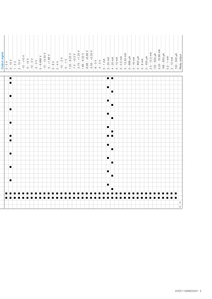| Output signal<br>$0 - 5 \nV$<br>$-10 \nV$<br>$-10 - 10 \nV$<br>$-10 - 5 \nV$<br>$-10 - 5 \nV$<br>$-10 - 5 \nV$<br>$-10 - 5 \nV$<br>$-10 - 5 \nV$<br>$-10 - 6 \nS 680 \nV$<br>$-10 - 43.39 \nV$<br>$-10 - 43.39 \nV$<br>$-10 - 43.39 \nV$ |
|------------------------------------------------------------------------------------------------------------------------------------------------------------------------------------------------------------------------------------------|
| ▏▆▏▆▏                                                                                                                                                                                                                                    |
|                                                                                                                                                                                                                                          |
| $\blacksquare$                                                                                                                                                                                                                           |
| O                                                                                                                                                                                                                                        |
|                                                                                                                                                                                                                                          |
| $\blacksquare$                                                                                                                                                                                                                           |
| Œ                                                                                                                                                                                                                                        |
|                                                                                                                                                                                                                                          |
| $\blacksquare$                                                                                                                                                                                                                           |
| Œ.                                                                                                                                                                                                                                       |
|                                                                                                                                                                                                                                          |
| $\blacksquare$                                                                                                                                                                                                                           |
| į.                                                                                                                                                                                                                                       |
| ▏▆░▆                                                                                                                                                                                                                                     |
|                                                                                                                                                                                                                                          |
| $\blacksquare$                                                                                                                                                                                                                           |
| Œ                                                                                                                                                                                                                                        |
|                                                                                                                                                                                                                                          |
| $\blacksquare$                                                                                                                                                                                                                           |
| i d                                                                                                                                                                                                                                      |
|                                                                                                                                                                                                                                          |
| $\blacksquare$                                                                                                                                                                                                                           |
| Œ                                                                                                                                                                                                                                        |
|                                                                                                                                                                                                                                          |
| $\blacksquare$                                                                                                                                                                                                                           |
| $\blacksquare$                                                                                                                                                                                                                           |
|                                                                                                                                                                                                                                          |
| $\blacksquare$<br>▏█▏<br>$\blacksquare$<br>■<br>п<br>п<br>п<br>∶∎<br>. .<br>┆┏<br>п<br>$\blacksquare$<br>i n<br>n i n<br>■<br>п<br>■<br>▘█▏                                                                                              |
|                                                                                                                                                                                                                                          |
|                                                                                                                                                                                                                                          |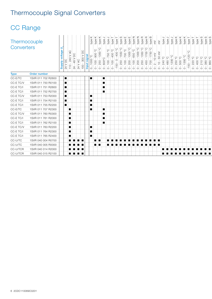# Thermocouple Signal Converters

| Thermocouple<br>Converters |                    | $\begin{array}{l l} \hline \textbf{Supply voltage} \cr 24 \text{ VDC} \cr 110 - 240 \text{ VAC} \cr 24 - 48 \text{ V DC} \cr 24 \text{ VAC} \cr \end{array}$ |             | $\frac{1}{2}$<br>$rac{8}{100}$ | type<br>$\circ$ | type<br>type<br>C<br>ပ္စ<br>$\frac{900}{1350}$<br>$\frac{300}{1000}$<br>0.1000 °C<br>0.100 - 00<br>1-250 - 02<br>0.250 - 100 - 907<br>$\circ$<br>$\circ$ | type<br>$\circ$ | type<br>type<br>ပ္စ<br>့ပ<br>750<br>$-400$<br>i <u>p</u><br>$\frac{1}{2}$<br>$\circ$<br>$\circ$ | type<br>- 13<br>$0 - 051$ | edki,<br>type<br>ို<br>O <sub>o</sub> OOZ<br>O <sub>o</sub> OSPI<br>O <sub>o</sub> OOT<br>$\rm ^{\rm o}$<br>250<br>$\circ$<br>$\circ$ | type<br>ပ္စ<br>1000<br>200<br>$\circ$ | $\overline{z}$<br>ype<br>ပ္စ<br>650<br>$\rm S$<br>$\circ$ | type<br>ပ္စ<br>$\frac{1300}{2}$<br>$-95$<br>$\rm ^{\rm o}$<br>$\circ$<br>$\circ$ | type<br>edX:<br>O <sub>o</sub> 0921<br>O <sub>o</sub> 0021<br>O <sub>o</sub> 0981<br>450 -<br>$\circ$ | type<br>$\geq$<br>$10 \text{ mV}$<br>$\rm ^{\rm o}$<br>$\sim$<br>$\circ$<br>$\circ$                                                                                                                                            | ਂ ≥ੂ<br>'⊟<br>$50 \text{ mV}$<br>$\overline{5}$<br>$\circ$ | ype<br>5° 072<br>ုပ္<br>8Ò<br>$\circ$<br>$\circ$ | type<br>type<br>1200 °C<br>$\circ$ | type<br>$\circ$<br>250<br>$\circ$ | iype<br>ype<br>350 °C<br>ိ<br>500<br>$\overline{\phantom{0}}$<br>$\circ$<br>$\circ$ | type<br>$\frac{56}{15}$<br>$-150 -$ | ype<br>ype<br>$\frac{220}{400}$<br>$\circ$<br>$\circ$ | $\omega$<br>type | း ဟ း ဟ<br>ype<br>ype<br>ုပ္ပုပ္ပုပ္<br>$\frac{210}{380}$<br>$\circ$ $\circ$ $\circ$ $\circ$ |  |
|----------------------------|--------------------|--------------------------------------------------------------------------------------------------------------------------------------------------------------|-------------|--------------------------------|-----------------|----------------------------------------------------------------------------------------------------------------------------------------------------------|-----------------|-------------------------------------------------------------------------------------------------|---------------------------|---------------------------------------------------------------------------------------------------------------------------------------|---------------------------------------|-----------------------------------------------------------|----------------------------------------------------------------------------------|-------------------------------------------------------------------------------------------------------|--------------------------------------------------------------------------------------------------------------------------------------------------------------------------------------------------------------------------------|------------------------------------------------------------|--------------------------------------------------|------------------------------------|-----------------------------------|-------------------------------------------------------------------------------------|-------------------------------------|-------------------------------------------------------|------------------|----------------------------------------------------------------------------------------------|--|
| <b>Type</b>                | Order number       |                                                                                                                                                              |             |                                |                 |                                                                                                                                                          |                 |                                                                                                 |                           |                                                                                                                                       |                                       |                                                           |                                                                                  |                                                                                                       |                                                                                                                                                                                                                                |                                                            |                                                  |                                    |                                   |                                                                                     |                                     |                                                       |                  |                                                                                              |  |
| CC-E/TC                    | 1SVR 011 702 R2600 | H                                                                                                                                                            |             |                                | ▏▆▁             |                                                                                                                                                          |                 |                                                                                                 |                           |                                                                                                                                       |                                       |                                                           |                                                                                  |                                                                                                       |                                                                                                                                                                                                                                |                                                            |                                                  |                                    |                                   |                                                                                     |                                     |                                                       |                  |                                                                                              |  |
| CC-E TC/V                  | 1SVR 011 750 R0100 | ▪                                                                                                                                                            |             |                                |                 |                                                                                                                                                          | п               |                                                                                                 |                           |                                                                                                                                       |                                       |                                                           |                                                                                  |                                                                                                       |                                                                                                                                                                                                                                |                                                            |                                                  |                                    |                                   |                                                                                     |                                     |                                                       |                  |                                                                                              |  |
| $CC-E$ $TC/I$              | 1SVR 011 751 R2600 | ı.                                                                                                                                                           |             |                                |                 |                                                                                                                                                          | ■               |                                                                                                 |                           |                                                                                                                                       |                                       |                                                           |                                                                                  |                                                                                                       |                                                                                                                                                                                                                                |                                                            |                                                  |                                    |                                   |                                                                                     |                                     |                                                       |                  |                                                                                              |  |
| $CC-E$ $TC/I$              | 1SVR 011 752 R2700 | H                                                                                                                                                            |             |                                |                 |                                                                                                                                                          | ш               |                                                                                                 |                           |                                                                                                                                       |                                       |                                                           |                                                                                  |                                                                                                       |                                                                                                                                                                                                                                |                                                            |                                                  |                                    |                                   |                                                                                     |                                     |                                                       |                  |                                                                                              |  |
| $CC$ $\vdash$ $TC/V$       | 1SVR 011 753 R2000 | ▬                                                                                                                                                            |             |                                | ▎▆              |                                                                                                                                                          |                 |                                                                                                 |                           |                                                                                                                                       |                                       |                                                           |                                                                                  |                                                                                                       |                                                                                                                                                                                                                                |                                                            |                                                  |                                    |                                   |                                                                                     |                                     |                                                       |                  |                                                                                              |  |
| $CC-E$ $TC/I$              | 1SVR 011 754 R2100 | $\blacksquare$                                                                                                                                               |             |                                | ▎▆              |                                                                                                                                                          |                 |                                                                                                 |                           |                                                                                                                                       |                                       |                                                           |                                                                                  |                                                                                                       |                                                                                                                                                                                                                                |                                                            |                                                  |                                    |                                   |                                                                                     |                                     |                                                       |                  |                                                                                              |  |
| $CC-E$ $TC/I$              | 1SVR 011 755 R2200 | ı.                                                                                                                                                           |             |                                | ▎▆              |                                                                                                                                                          |                 |                                                                                                 |                           |                                                                                                                                       |                                       |                                                           |                                                                                  |                                                                                                       |                                                                                                                                                                                                                                |                                                            |                                                  |                                    |                                   |                                                                                     |                                     |                                                       |                  |                                                                                              |  |
| $CC-E/TC$                  | 1SVR 011 707 R2300 | E.                                                                                                                                                           |             |                                | ▏▆▁             |                                                                                                                                                          | п               |                                                                                                 |                           |                                                                                                                                       |                                       |                                                           |                                                                                  |                                                                                                       |                                                                                                                                                                                                                                |                                                            |                                                  |                                    |                                   |                                                                                     |                                     |                                                       |                  |                                                                                              |  |
| CC-E TC/V                  | 1SVR 011 760 R0300 | Œ.                                                                                                                                                           |             |                                |                 |                                                                                                                                                          | п               |                                                                                                 |                           |                                                                                                                                       |                                       |                                                           |                                                                                  |                                                                                                       |                                                                                                                                                                                                                                |                                                            |                                                  |                                    |                                   |                                                                                     |                                     |                                                       |                  |                                                                                              |  |
| $CC-E$ $TC/I$              | 1SVR 011 761 R2000 | ▐█                                                                                                                                                           |             |                                |                 |                                                                                                                                                          |                 |                                                                                                 |                           |                                                                                                                                       |                                       |                                                           |                                                                                  |                                                                                                       |                                                                                                                                                                                                                                |                                                            |                                                  |                                    |                                   |                                                                                     |                                     |                                                       |                  |                                                                                              |  |
| $CC-E$ $TC/I$              | 1SVR 011 762 R2100 | Œ.                                                                                                                                                           |             |                                |                 |                                                                                                                                                          | $\blacksquare$  |                                                                                                 |                           |                                                                                                                                       |                                       |                                                           |                                                                                  |                                                                                                       |                                                                                                                                                                                                                                |                                                            |                                                  |                                    |                                   |                                                                                     |                                     |                                                       |                  |                                                                                              |  |
| $CC$ $\vdash$ $TC/V$       | 1SVR 011 763 R2200 | Œ.                                                                                                                                                           |             |                                | ▎▆              |                                                                                                                                                          |                 |                                                                                                 |                           |                                                                                                                                       |                                       |                                                           |                                                                                  |                                                                                                       |                                                                                                                                                                                                                                |                                                            |                                                  |                                    |                                   |                                                                                     |                                     |                                                       |                  |                                                                                              |  |
| $CC-E$ $TC/I$              | 1SVR 011 764 R2300 | ▁                                                                                                                                                            |             |                                | ▎▆              |                                                                                                                                                          |                 |                                                                                                 |                           |                                                                                                                                       |                                       |                                                           |                                                                                  |                                                                                                       |                                                                                                                                                                                                                                |                                                            |                                                  |                                    |                                   |                                                                                     |                                     |                                                       |                  |                                                                                              |  |
| $CC-E$ $TC/I$              | 1SVR 011 765 R2400 | Œ.                                                                                                                                                           |             |                                | п               |                                                                                                                                                          |                 |                                                                                                 |                           |                                                                                                                                       |                                       |                                                           |                                                                                  |                                                                                                       |                                                                                                                                                                                                                                |                                                            |                                                  |                                    |                                   |                                                                                     |                                     |                                                       |                  |                                                                                              |  |
| $CC-U/TC$                  | 1SVR 040 004 R0700 | ▏█▕▐█                                                                                                                                                        |             |                                |                 | <b>FILL</b>                                                                                                                                              |                 |                                                                                                 |                           |                                                                                                                                       |                                       |                                                           |                                                                                  |                                                                                                       | and a series of the series of the series of the series of the series of the series of the series of the series of the series of the series of the series of the series of the series of the series of the series of the series |                                                            |                                                  |                                    |                                   |                                                                                     |                                     |                                                       |                  |                                                                                              |  |
| $CC-U/TC$                  | 1SVR 040 005 R0000 |                                                                                                                                                              | ▏▆▏▏▆▏▏▆▏▐▆ |                                |                 | n i n                                                                                                                                                    |                 |                                                                                                 |                           |                                                                                                                                       |                                       |                                                           |                                                                                  |                                                                                                       |                                                                                                                                                                                                                                |                                                            |                                                  |                                    |                                   |                                                                                     |                                     |                                                       |                  |                                                                                              |  |
| $CC-U/TCR$                 | 1SVR 040 014 R2000 | 9 N 9 N 9 N 9 N                                                                                                                                              |             |                                |                 |                                                                                                                                                          |                 |                                                                                                 |                           |                                                                                                                                       |                                       |                                                           |                                                                                  |                                                                                                       |                                                                                                                                                                                                                                |                                                            |                                                  |                                    |                                   |                                                                                     |                                     |                                                       |                  |                                                                                              |  |
| CC-U/TCR                   | 1SVR 040 015 R2100 | ▏▆▕▗▆▕▗▆▕▗▆                                                                                                                                                  |             |                                |                 |                                                                                                                                                          |                 |                                                                                                 |                           |                                                                                                                                       |                                       |                                                           |                                                                                  |                                                                                                       |                                                                                                                                                                                                                                |                                                            | n a shekar                                       |                                    |                                   |                                                                                     |                                     |                                                       |                  |                                                                                              |  |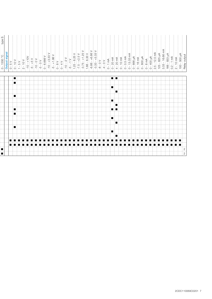| $rac{1}{2}$<br>$\circ$ | type S<br>$\frac{0 - 1550 °C}{\text{Output signal}}$ |  |                       |         | $\begin{array}{r l} 1.5 \times 10 V \\ -1.5 V \\ -10 - V \\ -5 - +5 V \\ -6 - 0 V \\ -10 - 0.4833 V \\ -5 - +1.66 V \\ -6 - 6.666 V \\ -5 - +1.66 V \\ -6 - 8 V \\ -10 - 2 V \\ -10 - 2 V \\ -1.25 - +2.5 V \\ -1.25 - +2.5 V \\ -1.25 - +2.5 V \\ -1.25 - +2.5 V \\ -1.25 - +2.5 V \\ -1.25 - +2.5 V \\ -1.25 - +2.5 V \\ -1.25 - +2.5 V \\ -1.25 - +2.5 V$ |     | $\begin{array}{r} 1.66 - 8.33 \text{ V} \\ -6.66 - +6.66 \text{ V} \\ -3.33 - +3.33 \text{ V} \end{array}$ | $\frac{-8 - 0}{\sqrt{0}}$ | $0 - 1$ mA<br>$0 - 20$ mA<br>$4 - 20$ mA | $10 \text{ mA}$<br>$0.5 \text{ mA}$<br>$13.33 \text{ mA}$<br>$\frac{1}{4}$ 0<br>$\circ$ | $\circ$ | $\begin{array}{cccc}\n & & \text{} & & \text{} \\ \hline\n0 & - & 666 \text{ J/A} & & \text{} \\ 0 & - & 16 \text{ mA} & & \text{} \\ 0 & - & 800 \text{ J/A} & & \text{} \\ 0 & - & 400 \text{ J/A} & & \text{} \\ \hline\n & 0 & - & 400 \text{ J/A} & & \text{} \\  & 2.5 & - & 12.5 \text{ mA} & & \text{} \\  & 125 & - & 65 \text{ mA} & & \text{} \\  & & 125 & - & 65 \text{ mA} & & \text{} \\  & & & $ |     |   | $\frac{166 - 833 \mu A}{0.2 - 1 \text{ mA}}$<br>$10 \text{ mA}$<br>$\begin{array}{c} \n 2 \\  0 \\  0\n \end{array}$<br>$\sim$ | 500 µA<br>output<br>$\frac{100}{\text{Relav}}$ |
|------------------------|------------------------------------------------------|--|-----------------------|---------|--------------------------------------------------------------------------------------------------------------------------------------------------------------------------------------------------------------------------------------------------------------------------------------------------------------------------------------------------------------|-----|------------------------------------------------------------------------------------------------------------|---------------------------|------------------------------------------|-----------------------------------------------------------------------------------------|---------|------------------------------------------------------------------------------------------------------------------------------------------------------------------------------------------------------------------------------------------------------------------------------------------------------------------------------------------------------------------------------------------------------------------|-----|---|--------------------------------------------------------------------------------------------------------------------------------|------------------------------------------------|
| Œ.                     |                                                      |  |                       |         |                                                                                                                                                                                                                                                                                                                                                              |     |                                                                                                            |                           | ▏▆▏▏▆▏                                   |                                                                                         |         |                                                                                                                                                                                                                                                                                                                                                                                                                  |     |   |                                                                                                                                |                                                |
| п                      |                                                      |  |                       |         |                                                                                                                                                                                                                                                                                                                                                              |     |                                                                                                            |                           |                                          |                                                                                         |         |                                                                                                                                                                                                                                                                                                                                                                                                                  |     |   |                                                                                                                                |                                                |
|                        |                                                      |  |                       |         |                                                                                                                                                                                                                                                                                                                                                              |     |                                                                                                            |                           | $\blacksquare$                           |                                                                                         |         |                                                                                                                                                                                                                                                                                                                                                                                                                  |     |   |                                                                                                                                |                                                |
| Œ                      |                                                      |  |                       |         |                                                                                                                                                                                                                                                                                                                                                              |     |                                                                                                            |                           |                                          | п                                                                                       |         |                                                                                                                                                                                                                                                                                                                                                                                                                  |     |   |                                                                                                                                |                                                |
|                        |                                                      |  |                       |         |                                                                                                                                                                                                                                                                                                                                                              |     |                                                                                                            |                           | $\blacksquare$                           |                                                                                         |         |                                                                                                                                                                                                                                                                                                                                                                                                                  |     |   |                                                                                                                                |                                                |
|                        |                                                      |  |                       |         |                                                                                                                                                                                                                                                                                                                                                              |     |                                                                                                            |                           |                                          | ▉                                                                                       |         |                                                                                                                                                                                                                                                                                                                                                                                                                  |     |   |                                                                                                                                |                                                |
| $\blacksquare$         |                                                      |  |                       |         |                                                                                                                                                                                                                                                                                                                                                              |     |                                                                                                            |                           | ▏▆▕▐▆                                    |                                                                                         |         |                                                                                                                                                                                                                                                                                                                                                                                                                  |     |   |                                                                                                                                |                                                |
| ▐▇                     |                                                      |  |                       |         |                                                                                                                                                                                                                                                                                                                                                              |     |                                                                                                            |                           |                                          |                                                                                         |         |                                                                                                                                                                                                                                                                                                                                                                                                                  |     |   |                                                                                                                                |                                                |
|                        |                                                      |  |                       |         |                                                                                                                                                                                                                                                                                                                                                              |     |                                                                                                            |                           | $\blacksquare$                           |                                                                                         |         |                                                                                                                                                                                                                                                                                                                                                                                                                  |     |   |                                                                                                                                |                                                |
|                        |                                                      |  |                       |         |                                                                                                                                                                                                                                                                                                                                                              |     |                                                                                                            |                           |                                          | H.                                                                                      |         |                                                                                                                                                                                                                                                                                                                                                                                                                  |     |   |                                                                                                                                |                                                |
| Œ.                     |                                                      |  |                       |         |                                                                                                                                                                                                                                                                                                                                                              |     |                                                                                                            |                           |                                          |                                                                                         |         |                                                                                                                                                                                                                                                                                                                                                                                                                  |     |   |                                                                                                                                |                                                |
|                        |                                                      |  |                       |         |                                                                                                                                                                                                                                                                                                                                                              |     |                                                                                                            |                           | $\blacksquare$                           |                                                                                         |         |                                                                                                                                                                                                                                                                                                                                                                                                                  |     |   |                                                                                                                                |                                                |
|                        |                                                      |  |                       |         |                                                                                                                                                                                                                                                                                                                                                              |     |                                                                                                            |                           |                                          | п                                                                                       |         |                                                                                                                                                                                                                                                                                                                                                                                                                  |     |   |                                                                                                                                |                                                |
| n                      |                                                      |  | ∙                     |         |                                                                                                                                                                                                                                                                                                                                                              |     |                                                                                                            |                           |                                          |                                                                                         |         |                                                                                                                                                                                                                                                                                                                                                                                                                  | i ∎ |   | and a strong of the strong strong                                                                                              |                                                |
| ▎▆▏░▆▏░▆▖              |                                                      |  | E STEETSTEET EN STEET | 8 N 8 N | i n<br>∶∎                                                                                                                                                                                                                                                                                                                                                    | i∎. | ▏█▏<br>÷∎                                                                                                  |                           | * * ■ *                                  | ÷ ∎                                                                                     | i ∎i    | i m<br>a an                                                                                                                                                                                                                                                                                                                                                                                                      |     | . | BER BER BER                                                                                                                    |                                                |
|                        |                                                      |  |                       |         |                                                                                                                                                                                                                                                                                                                                                              |     |                                                                                                            |                           |                                          |                                                                                         |         |                                                                                                                                                                                                                                                                                                                                                                                                                  |     |   |                                                                                                                                | $\begin{array}{c} 2 \\ 2 \end{array}$          |
|                        |                                                      |  |                       |         |                                                                                                                                                                                                                                                                                                                                                              |     |                                                                                                            |                           |                                          |                                                                                         |         |                                                                                                                                                                                                                                                                                                                                                                                                                  |     |   |                                                                                                                                |                                                |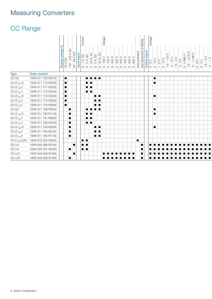## Measuring Converters

| <b>Type</b><br>Order number<br>$CC-E/I$<br>1SVR 011 703 R2700<br>$\blacksquare$<br><b>ARANG BERGA</b><br>$\blacksquare$<br>CC-E $I_{AC}/V$<br>1SVR 011 770 R0500<br>п<br>HE E<br>п<br>CC-E $I_{AC}/I$<br>1SVR 011 771 R2200<br>$\blacksquare$<br>▐▊░█<br>CC-E $I_{AC}/I$<br>1SVR 011 772 R2300<br>$\blacksquare$<br>E I I<br>CC-E $I_{\rm DC}/V$<br>1SVR 011 773 R2400<br>▉▏▉<br>п<br>п<br>CC-E $I_{DC}/I$<br>1SVR 011 774 R2500<br>$\blacksquare$<br>u i u<br>CC-E $I_{DC}/I$<br>1SVR 011 775 R2600<br>$\blacksquare$<br>u i u<br>$CC-E/I$<br>1SVR 011 708 R0400<br>$\blacksquare$<br>п<br><b>ARRIVARD</b><br>CC-E $I_{AC}/V$<br>1SVR 011 780 R1100<br>$\blacksquare$<br>$\blacksquare$<br>E BE<br>CC-E $I_{AC}/I$<br>1SVR 011 781 R0600<br>$\blacksquare$<br>▏█▏▏█▏<br>CC-E $I_{AC}/I$<br>1SVR 011 782 R0700<br>$\blacksquare$<br>E I I<br>CC-E $I_{DC}/V$<br>1SVR 011 783 R0000<br>$\blacksquare$<br>M I H<br>$\blacksquare$<br>CC-E $I_{\rm DC}/I$<br>1SVR 011 784 R0100<br>п<br>$\blacksquare$ ) $\blacksquare$<br>CC-E $I_{DC}/I$<br>1SVR 011 785 R1100<br>п<br>M i A<br>CC-E $I_{AC}/ILPO$<br>$\blacksquare$<br>1SVR 010 203 R0500<br>▎█▏░▐█▏<br>CC-U/I<br>1SVR 040 006 R0100<br>▐█<br>HE E<br>п<br>$CC-U/I$<br>$\blacksquare$<br>1SVR 040 007 R0200<br>■!<br>$CC$ -U/V<br>1SVR 040 008 R1300<br>п |  | $\frac{\text{Supply voltage U}}{24 \text{ V DC}}$ | $110 - 240$ V AC<br>48 V DC<br>$24 -$ | Input signal | urrent<br>Ō<br>1A, AC<br>5 A, AC<br>$\stackrel{\shortparallel}{\circ}$<br>$\circ$ | 20 A, AC<br>$\rm ^{\circ}$ | 20 A, DC<br>5A, DC<br>$\rm \dot{\circ}$<br>$\circ$ | Voltage<br>$\sqrt{001}$<br>$\circ$ | 150 V<br>250 V<br>$\circ$<br>$\circ$ | <b>V 008</b><br>$\circ$ | 400 V<br>450 V<br>$\circ$<br>$\circ$ | 550<br>$\circ$ | loop powered<br>600 V<br>$\circ$ | 0-600Hz<br>E<br>ےِ<br>wave<br>any | signal<br>$\frac{10}{10} = 2$ | Voltage<br>$rac{1}{\sqrt{2}}$<br>$\circ$ | $\begin{matrix} 1 & 0 \\ 0 & 1 \end{matrix}$<br>$\leftarrow$ : | $\frac{1}{2}$<br>$\sqrt{0}$<br>$\frac{1}{2}$<br>$\sim$ | $\wedge$ 9+<br>ιĢ | $\sim$<br>$-10-$ | $-5 - 0 V$<br>0 - 0.666 V | $+3.33V$<br>$-10-$ | $+1.66$ V<br>ηù | $0 - 8V$<br>$\frac{1}{4}$<br>$\rm \dot{\circ}$ | $-2-$<br>$-10-$ | $\ge$<br>$\overline{c}$ |
|-----------------------------------------------------------------------------------------------------------------------------------------------------------------------------------------------------------------------------------------------------------------------------------------------------------------------------------------------------------------------------------------------------------------------------------------------------------------------------------------------------------------------------------------------------------------------------------------------------------------------------------------------------------------------------------------------------------------------------------------------------------------------------------------------------------------------------------------------------------------------------------------------------------------------------------------------------------------------------------------------------------------------------------------------------------------------------------------------------------------------------------------------------------------------------------------------------------------------------------------------------------------------------------------------------------|--|---------------------------------------------------|---------------------------------------|--------------|-----------------------------------------------------------------------------------|----------------------------|----------------------------------------------------|------------------------------------|--------------------------------------|-------------------------|--------------------------------------|----------------|----------------------------------|-----------------------------------|-------------------------------|------------------------------------------|----------------------------------------------------------------|--------------------------------------------------------|-------------------|------------------|---------------------------|--------------------|-----------------|------------------------------------------------|-----------------|-------------------------|
|                                                                                                                                                                                                                                                                                                                                                                                                                                                                                                                                                                                                                                                                                                                                                                                                                                                                                                                                                                                                                                                                                                                                                                                                                                                                                                           |  |                                                   |                                       |              |                                                                                   |                            |                                                    |                                    |                                      |                         |                                      |                |                                  |                                   |                               |                                          |                                                                |                                                        |                   |                  |                           |                    |                 |                                                |                 |                         |
|                                                                                                                                                                                                                                                                                                                                                                                                                                                                                                                                                                                                                                                                                                                                                                                                                                                                                                                                                                                                                                                                                                                                                                                                                                                                                                           |  |                                                   |                                       |              |                                                                                   |                            |                                                    |                                    |                                      |                         |                                      |                |                                  |                                   |                               |                                          |                                                                |                                                        |                   |                  |                           |                    |                 |                                                |                 |                         |
|                                                                                                                                                                                                                                                                                                                                                                                                                                                                                                                                                                                                                                                                                                                                                                                                                                                                                                                                                                                                                                                                                                                                                                                                                                                                                                           |  |                                                   |                                       |              |                                                                                   |                            |                                                    |                                    |                                      |                         |                                      |                |                                  |                                   |                               |                                          |                                                                |                                                        |                   |                  |                           |                    |                 |                                                |                 |                         |
|                                                                                                                                                                                                                                                                                                                                                                                                                                                                                                                                                                                                                                                                                                                                                                                                                                                                                                                                                                                                                                                                                                                                                                                                                                                                                                           |  |                                                   |                                       |              |                                                                                   |                            |                                                    |                                    |                                      |                         |                                      |                |                                  |                                   |                               |                                          |                                                                |                                                        |                   |                  |                           |                    |                 |                                                |                 |                         |
|                                                                                                                                                                                                                                                                                                                                                                                                                                                                                                                                                                                                                                                                                                                                                                                                                                                                                                                                                                                                                                                                                                                                                                                                                                                                                                           |  |                                                   |                                       |              |                                                                                   |                            |                                                    |                                    |                                      |                         |                                      |                |                                  |                                   |                               |                                          |                                                                |                                                        |                   |                  |                           |                    |                 |                                                |                 |                         |
|                                                                                                                                                                                                                                                                                                                                                                                                                                                                                                                                                                                                                                                                                                                                                                                                                                                                                                                                                                                                                                                                                                                                                                                                                                                                                                           |  |                                                   |                                       |              |                                                                                   |                            |                                                    |                                    |                                      |                         |                                      |                |                                  |                                   |                               |                                          |                                                                |                                                        |                   |                  |                           |                    |                 |                                                |                 |                         |
|                                                                                                                                                                                                                                                                                                                                                                                                                                                                                                                                                                                                                                                                                                                                                                                                                                                                                                                                                                                                                                                                                                                                                                                                                                                                                                           |  |                                                   |                                       |              |                                                                                   |                            |                                                    |                                    |                                      |                         |                                      |                |                                  |                                   |                               |                                          |                                                                |                                                        |                   |                  |                           |                    |                 |                                                |                 |                         |
|                                                                                                                                                                                                                                                                                                                                                                                                                                                                                                                                                                                                                                                                                                                                                                                                                                                                                                                                                                                                                                                                                                                                                                                                                                                                                                           |  |                                                   |                                       |              |                                                                                   |                            |                                                    |                                    |                                      |                         |                                      |                |                                  |                                   |                               |                                          |                                                                |                                                        |                   |                  |                           |                    |                 |                                                |                 |                         |
|                                                                                                                                                                                                                                                                                                                                                                                                                                                                                                                                                                                                                                                                                                                                                                                                                                                                                                                                                                                                                                                                                                                                                                                                                                                                                                           |  |                                                   |                                       |              |                                                                                   |                            |                                                    |                                    |                                      |                         |                                      |                |                                  |                                   |                               |                                          |                                                                |                                                        |                   |                  |                           |                    |                 |                                                |                 |                         |
|                                                                                                                                                                                                                                                                                                                                                                                                                                                                                                                                                                                                                                                                                                                                                                                                                                                                                                                                                                                                                                                                                                                                                                                                                                                                                                           |  |                                                   |                                       |              |                                                                                   |                            |                                                    |                                    |                                      |                         |                                      |                |                                  |                                   |                               |                                          |                                                                |                                                        |                   |                  |                           |                    |                 |                                                |                 |                         |
|                                                                                                                                                                                                                                                                                                                                                                                                                                                                                                                                                                                                                                                                                                                                                                                                                                                                                                                                                                                                                                                                                                                                                                                                                                                                                                           |  |                                                   |                                       |              |                                                                                   |                            |                                                    |                                    |                                      |                         |                                      |                |                                  |                                   |                               |                                          |                                                                |                                                        |                   |                  |                           |                    |                 |                                                |                 |                         |
|                                                                                                                                                                                                                                                                                                                                                                                                                                                                                                                                                                                                                                                                                                                                                                                                                                                                                                                                                                                                                                                                                                                                                                                                                                                                                                           |  |                                                   |                                       |              |                                                                                   |                            |                                                    |                                    |                                      |                         |                                      |                |                                  |                                   |                               |                                          |                                                                |                                                        |                   |                  |                           |                    |                 |                                                |                 |                         |
|                                                                                                                                                                                                                                                                                                                                                                                                                                                                                                                                                                                                                                                                                                                                                                                                                                                                                                                                                                                                                                                                                                                                                                                                                                                                                                           |  |                                                   |                                       |              |                                                                                   |                            |                                                    |                                    |                                      |                         |                                      |                |                                  |                                   |                               |                                          |                                                                |                                                        |                   |                  |                           |                    |                 |                                                |                 |                         |
|                                                                                                                                                                                                                                                                                                                                                                                                                                                                                                                                                                                                                                                                                                                                                                                                                                                                                                                                                                                                                                                                                                                                                                                                                                                                                                           |  |                                                   |                                       |              |                                                                                   |                            |                                                    |                                    |                                      |                         |                                      |                |                                  |                                   |                               |                                          |                                                                |                                                        |                   |                  |                           |                    |                 |                                                |                 |                         |
|                                                                                                                                                                                                                                                                                                                                                                                                                                                                                                                                                                                                                                                                                                                                                                                                                                                                                                                                                                                                                                                                                                                                                                                                                                                                                                           |  |                                                   |                                       |              |                                                                                   |                            |                                                    |                                    |                                      |                         |                                      |                |                                  |                                   |                               |                                          |                                                                |                                                        |                   |                  |                           |                    |                 |                                                |                 |                         |
|                                                                                                                                                                                                                                                                                                                                                                                                                                                                                                                                                                                                                                                                                                                                                                                                                                                                                                                                                                                                                                                                                                                                                                                                                                                                                                           |  |                                                   |                                       |              |                                                                                   |                            |                                                    |                                    |                                      |                         |                                      |                |                                  |                                   |                               |                                          |                                                                |                                                        |                   |                  |                           |                    |                 |                                                |                 |                         |
|                                                                                                                                                                                                                                                                                                                                                                                                                                                                                                                                                                                                                                                                                                                                                                                                                                                                                                                                                                                                                                                                                                                                                                                                                                                                                                           |  |                                                   |                                       |              |                                                                                   |                            |                                                    |                                    |                                      |                         |                                      |                |                                  |                                   |                               |                                          |                                                                |                                                        |                   |                  |                           |                    |                 |                                                |                 |                         |
|                                                                                                                                                                                                                                                                                                                                                                                                                                                                                                                                                                                                                                                                                                                                                                                                                                                                                                                                                                                                                                                                                                                                                                                                                                                                                                           |  |                                                   |                                       |              |                                                                                   |                            |                                                    |                                    |                                      |                         |                                      |                |                                  |                                   |                               |                                          |                                                                |                                                        |                   |                  |                           |                    |                 |                                                |                 |                         |
|                                                                                                                                                                                                                                                                                                                                                                                                                                                                                                                                                                                                                                                                                                                                                                                                                                                                                                                                                                                                                                                                                                                                                                                                                                                                                                           |  |                                                   |                                       |              |                                                                                   |                            |                                                    |                                    |                                      |                         |                                      |                |                                  |                                   |                               |                                          |                                                                |                                                        |                   |                  |                           |                    |                 |                                                |                 |                         |
| CC-U/V<br>$\blacksquare$<br>1SVR 040 009 R1400                                                                                                                                                                                                                                                                                                                                                                                                                                                                                                                                                                                                                                                                                                                                                                                                                                                                                                                                                                                                                                                                                                                                                                                                                                                            |  |                                                   |                                       |              |                                                                                   |                            |                                                    |                                    |                                      |                         |                                      |                |                                  |                                   |                               |                                          |                                                                |                                                        |                   |                  |                           |                    |                 |                                                |                 |                         |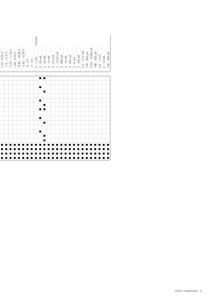|  | $-7.5 - +2.5$ V<br>$-3.75 - +1.25$ V<br>$1.25 - 6.25V$ | $1.66 - 8.33V$ | $-6.66 - +6.66$<br>$-3.33 - +3.33$<br>$-3.33 -$<br>$A = -8 - 8 - 1$ | Current<br>$\frac{1 \text{ mA}}{20 \text{ mA}}$<br>$-4 - 0$<br>$\circ$ | $\circ$             |  | $\begin{array}{l} 4-20 \text{ mA} \\ 0-10 \text{ mA} \\ 0-0.5 \text{ mA} \\ 0-0.5 \text{ MA} \\ 0-13.33 \text{ mA} \\ 0-16 \text{ mA} \\ 0-16 \text{ MA} \\ 0-800 \text{ JA} \\ 0-400 \text{ JA} \\ 0-400 \text{ JA} \\ 2.5-12.5 \text{ mA} \\ 2.5-12.5 \text{ mA} \\ 2.5-12.5 \text{ mA} \\ 2.5-12.5 \text{ mA} \\ 2.5-12.5 \text{ mA} \\ 2.5-12.5 \text{ mA} \\ 2.5-$ | $3.33 - 16.66$ mA | $166 - 833 \mu A$<br>0.2 - 1 mA<br>2 - 10 mA<br>Au 005 - 001 |  |
|--|--------------------------------------------------------|----------------|---------------------------------------------------------------------|------------------------------------------------------------------------|---------------------|--|-------------------------------------------------------------------------------------------------------------------------------------------------------------------------------------------------------------------------------------------------------------------------------------------------------------------------------------------------------------------------|-------------------|--------------------------------------------------------------|--|
|  |                                                        |                |                                                                     |                                                                        | ▐▆░▇                |  |                                                                                                                                                                                                                                                                                                                                                                         |                   |                                                              |  |
|  |                                                        |                |                                                                     |                                                                        |                     |  |                                                                                                                                                                                                                                                                                                                                                                         |                   |                                                              |  |
|  |                                                        |                |                                                                     |                                                                        | $\blacksquare$<br>п |  |                                                                                                                                                                                                                                                                                                                                                                         |                   |                                                              |  |
|  |                                                        |                |                                                                     |                                                                        |                     |  |                                                                                                                                                                                                                                                                                                                                                                         |                   |                                                              |  |
|  |                                                        |                |                                                                     |                                                                        | $\blacksquare$      |  |                                                                                                                                                                                                                                                                                                                                                                         |                   |                                                              |  |
|  |                                                        |                |                                                                     |                                                                        | п                   |  |                                                                                                                                                                                                                                                                                                                                                                         |                   |                                                              |  |
|  |                                                        |                |                                                                     |                                                                        | $\blacksquare$ :    |  |                                                                                                                                                                                                                                                                                                                                                                         |                   |                                                              |  |
|  |                                                        |                |                                                                     |                                                                        | $\blacksquare$      |  |                                                                                                                                                                                                                                                                                                                                                                         |                   |                                                              |  |
|  |                                                        |                |                                                                     |                                                                        | $\blacksquare$      |  |                                                                                                                                                                                                                                                                                                                                                                         |                   |                                                              |  |
|  |                                                        |                |                                                                     |                                                                        | п                   |  |                                                                                                                                                                                                                                                                                                                                                                         |                   |                                                              |  |
|  |                                                        |                |                                                                     |                                                                        | $\blacksquare$      |  |                                                                                                                                                                                                                                                                                                                                                                         |                   |                                                              |  |
|  |                                                        |                |                                                                     |                                                                        | п                   |  |                                                                                                                                                                                                                                                                                                                                                                         |                   |                                                              |  |
|  |                                                        |                |                                                                     |                                                                        |                     |  |                                                                                                                                                                                                                                                                                                                                                                         |                   |                                                              |  |
|  |                                                        |                |                                                                     |                                                                        |                     |  |                                                                                                                                                                                                                                                                                                                                                                         |                   |                                                              |  |
|  | $\blacksquare$                                         |                |                                                                     |                                                                        |                     |  |                                                                                                                                                                                                                                                                                                                                                                         |                   |                                                              |  |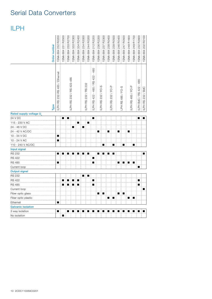## Serial Data Converters

### ILPH

|                           | Order number | 1SNA 684 252 R0200           | ISNA 684 231 R2500 | 1SNA 684 233 R2700 | 1SNA 684 333 R2300      | 1SNA 684 334 R2400 | 1SNA 684 234 R2000 | 1SNA 684 244 R0200  | 1SNA 684 212 R2200                  | ISNA 684 236 R2200 | 1SNA 684 237 R2300 | 1SNA 684 238 R0400 | 1SNA 684 239 R0500 | 1SNA 684 246 R0400 | 1SNA 684 247 R0500 | SNA 684 248 R1600 | 1SNA 684 249 R1700 | ISNA 684 232 R2600     | 1SNA 684 202 R0100 |
|---------------------------|--------------|------------------------------|--------------------|--------------------|-------------------------|--------------------|--------------------|---------------------|-------------------------------------|--------------------|--------------------|--------------------|--------------------|--------------------|--------------------|-------------------|--------------------|------------------------|--------------------|
|                           | Type         | LPH RS 232-RS 485 / Ethernet |                    |                    | LPH RS 232 / RS 422-485 |                    |                    | LPH RS 232 / RS 232 | $-485 / RS 422 - 485$<br>LPH RS 422 |                    | ILPH RS 232 / FO-S |                    | LPH RS 232 / FO-P  |                    | PH RS 485 / FO-S   |                   | LPH RS 485 / FO-P  | LPH BdC / RS 422 - 485 | ILPH RS 232 / BdC  |
| Rated supply voltage U    |              |                              |                    |                    |                         |                    |                    |                     |                                     |                    |                    |                    |                    |                    |                    |                   |                    |                        |                    |
| 24 V DC                   |              |                              |                    | ÷<br>п             |                         |                    |                    |                     | п                                   |                    |                    |                    |                    |                    |                    |                   |                    | $\blacksquare$         | ■                  |
| 115 - 230 V AC            |              |                              |                    |                    |                         | п                  |                    | ■                   |                                     |                    |                    |                    |                    |                    |                    |                   |                    |                        |                    |
| 24 - 48 V DC              |              |                              |                    |                    | ■                       |                    | ■                  |                     |                                     |                    |                    |                    |                    |                    |                    |                   |                    |                        |                    |
| 24 - 42 V AC/DC           |              |                              |                    |                    |                         |                    |                    |                     |                                     |                    |                    |                    |                    | ■                  |                    |                   |                    |                        |                    |
| 10 - 34 V DC              |              | п                            |                    |                    |                         |                    |                    |                     |                                     |                    |                    |                    |                    |                    |                    |                   |                    |                        |                    |
| 10 - 24 V AC              |              | п                            |                    |                    |                         |                    |                    |                     |                                     |                    |                    |                    |                    |                    |                    |                   |                    |                        |                    |
| 110 - 240 V AC/DC         |              |                              |                    |                    |                         |                    |                    |                     |                                     |                    |                    |                    | ■                  |                    | ■                  |                   | ■                  |                        |                    |
| Input signal              |              |                              |                    |                    |                         |                    |                    |                     |                                     |                    |                    |                    |                    |                    |                    |                   |                    |                        |                    |
| <b>RS 232</b>             |              |                              |                    |                    |                         |                    |                    |                     |                                     |                    |                    |                    |                    |                    |                    |                   |                    |                        | ■                  |
| <b>RS 422</b>             |              |                              |                    |                    |                         |                    |                    |                     | п                                   |                    |                    |                    |                    |                    |                    |                   |                    |                        |                    |
| <b>RS 485</b>             |              | п                            |                    |                    |                         |                    |                    |                     | п                                   |                    |                    |                    |                    | п                  | п                  | п                 | ŧ<br>п             |                        |                    |
| Current loop              |              |                              |                    |                    |                         |                    |                    |                     |                                     |                    |                    |                    |                    |                    |                    |                   |                    | п                      |                    |
| <b>Output signal</b>      |              |                              |                    |                    |                         |                    |                    |                     |                                     |                    |                    |                    |                    |                    |                    |                   |                    |                        |                    |
| <b>RS 232</b>             |              |                              |                    |                    |                         |                    | ■                  | ■                   |                                     |                    |                    |                    |                    |                    |                    |                   |                    |                        |                    |
| <b>RS 422</b>             |              |                              |                    |                    | ■                       | п                  |                    |                     | п                                   |                    |                    |                    |                    |                    |                    |                   |                    | п                      |                    |
| <b>RS 485</b>             |              |                              | п                  |                    | ŧ<br>■                  | п                  |                    |                     | п                                   |                    |                    |                    |                    |                    |                    |                   |                    | ■                      |                    |
| Current loop              |              |                              |                    |                    |                         |                    |                    |                     |                                     |                    |                    |                    |                    |                    |                    |                   |                    |                        | п                  |
| Fiber optic glass         |              |                              |                    |                    |                         |                    |                    |                     |                                     | ■                  | п                  |                    |                    | п                  | ■                  |                   |                    |                        |                    |
| Fiber optic plastic       |              |                              |                    |                    |                         |                    |                    |                     |                                     |                    |                    |                    | Ť<br>п             |                    |                    | ٠                 | ■                  |                        |                    |
| Ethernet                  |              | п                            |                    |                    |                         |                    |                    |                     |                                     |                    |                    |                    |                    |                    |                    |                   |                    |                        |                    |
| <b>Galvanic isolation</b> |              |                              |                    |                    |                         |                    |                    |                     |                                     |                    |                    |                    |                    |                    |                    |                   |                    |                        |                    |
| 3 way isolation           |              | ■                            |                    |                    |                         |                    |                    |                     |                                     |                    |                    |                    |                    |                    |                    |                   |                    |                        |                    |
| No isolation              |              |                              | ■                  |                    |                         |                    |                    |                     |                                     |                    |                    |                    |                    |                    |                    |                   |                    |                        |                    |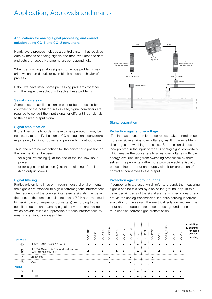### Application, Approvals and marks

### Applications for analog signal processing and correct solution using CC-E and CC-U converters

Nearly every process includes a control system that receives data by means of analog signals and then evaluates the data and sets the respective parameters correspondingly.

When transmitting analog signals numerous problems may arise which can disturb or even block an ideal behavior of the process.

Below we have listed some processing problems together with the respective solutions to solve these problems:

### Signal conversion

Sometimes the available signals cannot be processed by the controller or the actuator. In this case, signal converters are required to convert the input signal (or different input signals) to the desired output signal.

### Signal amplification

If long lines or high burdens have to be operated, it may be necessary to amplify the signal. CC analog signal converters require only low input power and provide high output power.

Thus, there are no restrictions for the converter's position on the line, i.e. it can be used

- − for signal refreshing (1) at the end of the line (low input power)
- − or for signal amplification **②** at the beginning of the line (high output power).

### Signal filtering

Particularly on long lines or in rough industrial environments the signals are exposed to high electromagnetic interferences. The frequency of the coupled interference signals may be in the range of the common mains frequency (50 Hz) or even much higher (in case of frequency converters). According to the specific requirements, analog signal converters are available which provide reliable suppression of those interferences by means of an input low-pass filter.



### Signal separation

### Protection against overvoltage

 The increased use of micro-electronics make controls much more sensitive against overvoltages, resulting from lightning discharges or switching processes. Suppression diodes are incorporated in the input of the CC analog signal converters which enable the converters to arrest overvoltages with low energy level (resulting from switching processes) by themselves. The products furthermore provide electrical isolation between input, output and supply circuit for protection of the controller connected to the output.

### Protection against ground loops

If components are used which refer to ground, the measuring signals can be falsified by a so-called ground loop. In this case, certain parts of the signal are transmitted via earth and not via the analog transmission line, thus causing incorrect evaluation of the signal. The electrical isolation between the input and the output disconnects these ground loops and thus enables correct signal transmission.

| <b>Approvals</b>               |                                                                        | 뉴 |        |   | 듢 |        |  |   | Щ<br>႙ | ш<br>႘ | ≌<br>ပ္ဂ     | CC-UN | $\blacksquare$ existing<br>existing<br>for some<br>devices<br>pending<br>$\Box$ |
|--------------------------------|------------------------------------------------------------------------|---|--------|---|---|--------|--|---|--------|--------|--------------|-------|---------------------------------------------------------------------------------|
| <sub>շ</sub> (Մա<br>LISTED<br> | UL 508, CAN/CSA C22.2 No.14                                            |   |        |   |   |        |  |   |        | .      | . <b>.</b>   | .     |                                                                                 |
| ৻ঀৣ৾                           | UL 1604 (Class I, Div 2, hazardous locations),<br>CAN/CSA C22.2 No.213 |   | п<br>. |   |   |        |  |   |        |        | п            |       |                                                                                 |
| ************************<br>CB | CB scheme                                                              |   |        | п |   | .<br>п |  | п |        |        | . <b>.</b> . |       |                                                                                 |
|                                | CCC                                                                    |   |        | п |   | п      |  | п |        |        |              |       |                                                                                 |
| <b>Marks</b>                   |                                                                        |   |        |   |   |        |  |   |        |        |              |       |                                                                                 |
| ce                             | ÷CE                                                                    |   |        |   |   |        |  |   |        |        |              |       |                                                                                 |
| .                              | C-Tick                                                                 |   |        |   |   |        |  |   |        |        |              |       |                                                                                 |